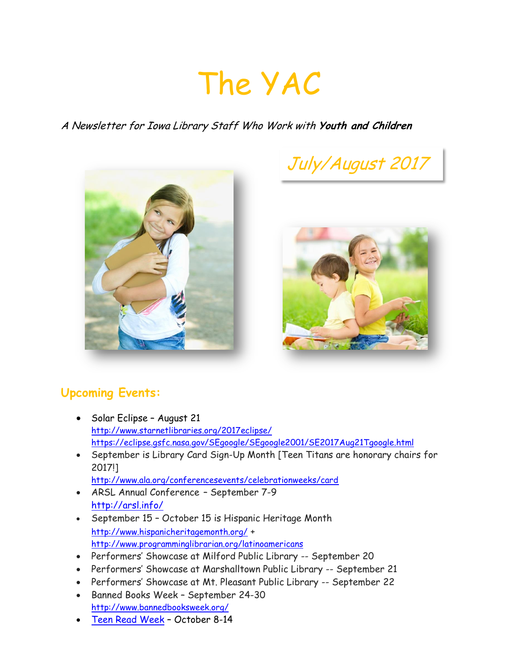# The YAC

### A Newsletter for Iowa Library Staff Who Work with **Youth and Children**







## **Upcoming Events:**

- Solar Eclipse August 21 <http://www.starnetlibraries.org/2017eclipse/> <https://eclipse.gsfc.nasa.gov/SEgoogle/SEgoogle2001/SE2017Aug21Tgoogle.html>
- September is Library Card Sign-Up Month [Teen Titans are honorary chairs for 2017!]
	- <http://www.ala.org/conferencesevents/celebrationweeks/card>
- ARSL Annual Conference September 7-9 <http://arsl.info/>
- September 15 October 15 is Hispanic Heritage Month <http://www.hispanicheritagemonth.org/> + <http://www.programminglibrarian.org/latinoamericans>
- Performers' Showcase at Milford Public Library -- September 20
- Performers' Showcase at Marshalltown Public Library -- September 21
- Performers' Showcase at Mt. Pleasant Public Library -- September 22
- Banned Books Week September 24-30 <http://www.bannedbooksweek.org/>
- [Teen Read Week](http://teenreadweek.ning.com/) October 8-14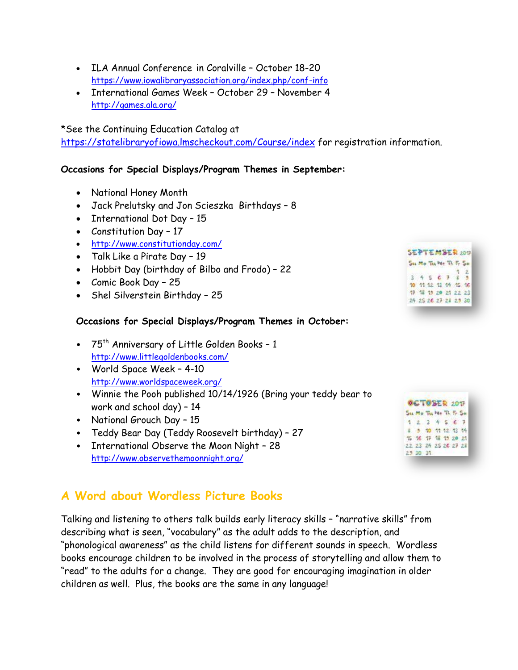- ILA Annual Conference in Coralville October 18-20 <https://www.iowalibraryassociation.org/index.php/conf-info>
- International Games Week October 29 November 4 <http://games.ala.org/>

\*See the Continuing Education Catalog at

<https://statelibraryofiowa.lmscheckout.com/Course/index> for registration information.

#### **Occasions for Special Displays/Program Themes in September:**

- National Honey Month
- Jack Prelutsky and Jon Scieszka Birthdays 8
- International Dot Day 15
- Constitution Day 17
- <http://www.constitutionday.com/>
- Talk Like a Pirate Day 19
- Hobbit Day (birthday of Bilbo and Frodo) 22
- Comic Book Day 25
- Shel Silverstein Birthday 25

#### **Occasions for Special Displays/Program Themes in October:**

- 75th Anniversary of Little Golden Books 1 <http://www.littlegoldenbooks.com/>
- World Space Week 4-10 <http://www.worldspaceweek.org/>
- Winnie the Pooh published 10/14/1926 (Bring your teddy bear to work and school day) – 14
- National Grouch Day 15
- Teddy Bear Day (Teddy Roosevelt birthday) 27
- International Observe the Moon Night 28 <http://www.observethemoonnight.org/>

## **A Word about Wordless Picture Books**

Talking and listening to others talk builds early literacy skills – "narrative skills" from describing what is seen, "vocabulary" as the adult adds to the description, and "phonological awareness" as the child listens for different sounds in speech. Wordless books encourage children to be involved in the process of storytelling and allow them to "read" to the adults for a change. They are good for encouraging imagination in older children as well. Plus, the books are the same in any language!

|  |  | Su Mo Tu We Th Fr So |  |
|--|--|----------------------|--|
|  |  |                      |  |
|  |  | 345672               |  |
|  |  |                      |  |
|  |  | 10 11 12 13 14 15 16 |  |
|  |  | 17 18 19 20 21 22 23 |  |
|  |  | 25 25 26 27 24 25 30 |  |

| <b>GCTOBER 2017</b> |                      |  |  |  |  |  |  |  |  |
|---------------------|----------------------|--|--|--|--|--|--|--|--|
|                     | Su Mo Tu We Th Fr So |  |  |  |  |  |  |  |  |
|                     | 1234567              |  |  |  |  |  |  |  |  |
|                     | # 5 10 11 12 13 14   |  |  |  |  |  |  |  |  |
|                     | 15 16 17 18 19 20 21 |  |  |  |  |  |  |  |  |
|                     | 22 23 24 25 26 27 24 |  |  |  |  |  |  |  |  |
|                     | 25 30 31             |  |  |  |  |  |  |  |  |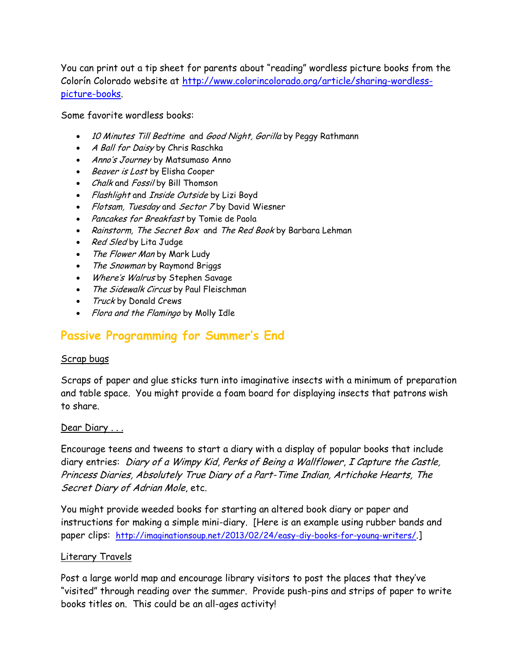You can print out a tip sheet for parents about "reading" wordless picture books from the Colorín Colorado website at [http://www.colorincolorado.org/article/sharing-wordless](http://www.colorincolorado.org/article/sharing-wordless-picture-books)[picture-books.](http://www.colorincolorado.org/article/sharing-wordless-picture-books)

Some favorite wordless books:

- 10 Minutes Till Bedtime and Good Night, Gorilla by Peggy Rathmann
- A Ball for Daisy by Chris Raschka
- Anno's Journey by Matsumaso Anno
- Beaver is Lost by Elisha Cooper
- Chalk and Fossil by Bill Thomson
- Flashlight and Inside Outside by Lizi Boyd
- Flotsam, Tuesday and Sector 7 by David Wiesner
- Pancakes for Breakfast by Tomie de Paola
- Rainstorm, The Secret Box and The Red Book by Barbara Lehman
- Red Sled by Lita Judge
- The Flower Man by Mark Ludy
- The Snowman by Raymond Briggs
- Where's Walrus by Stephen Savage
- The Sidewalk Circus by Paul Fleischman
- Truck by Donald Crews
- Flora and the Flamingo by Molly Idle

## **Passive Programming for Summer's End**

#### Scrap bugs

Scraps of paper and glue sticks turn into imaginative insects with a minimum of preparation and table space. You might provide a foam board for displaying insects that patrons wish to share.

#### Dear Diary . . .

Encourage teens and tweens to start a diary with a display of popular books that include diary entries: Diary of a Wimpy Kid, Perks of Being a Wallflower, I Capture the Castle, Princess Diaries, Absolutely True Diary of a Part-Time Indian, Artichoke Hearts, The Secret Diary of Adrian Mole, etc.

You might provide weeded books for starting an altered book diary or paper and instructions for making a simple mini-diary. [Here is an example using rubber bands and paper clips: <http://imaginationsoup.net/2013/02/24/easy-diy-books-for-young-writers/>.]

#### Literary Travels

Post a large world map and encourage library visitors to post the places that they've "visited" through reading over the summer. Provide push-pins and strips of paper to write books titles on. This could be an all-ages activity!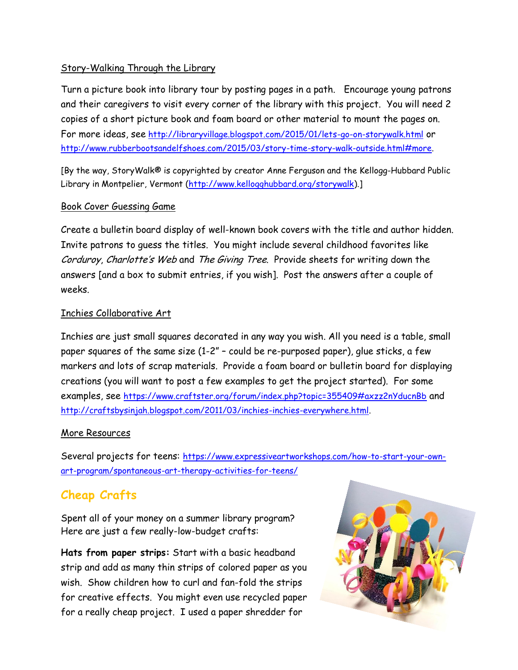#### Story-Walking Through the Library

Turn a picture book into library tour by posting pages in a path. Encourage young patrons and their caregivers to visit every corner of the library with this project. You will need 2 copies of a short picture book and foam board or other material to mount the pages on. For more ideas, see <http://libraryvillage.blogspot.com/2015/01/lets-go-on-storywalk.html> or [http://www.rubberbootsandelfshoes.com/2015/03/story-time-story-walk-outside.html#more.](http://www.rubberbootsandelfshoes.com/2015/03/story-time-story-walk-outside.html#more)

[By the way, StoryWalk® is copyrighted by creator Anne Ferguson and the Kellogg-Hubbard Public Library in Montpelier, Vermont [\(http://www.kellogghubbard.org/storywalk\)](http://www.kellogghubbard.org/storywalk).]

#### Book Cover Guessing Game

Create a bulletin board display of well-known book covers with the title and author hidden. Invite patrons to guess the titles. You might include several childhood favorites like Corduroy, Charlotte's Web and The Giving Tree. Provide sheets for writing down the answers [and a box to submit entries, if you wish]. Post the answers after a couple of weeks.

#### Inchies Collaborative Art

Inchies are just small squares decorated in any way you wish. All you need is a table, small paper squares of the same size (1-2" – could be re-purposed paper), glue sticks, a few markers and lots of scrap materials. Provide a foam board or bulletin board for displaying creations (you will want to post a few examples to get the project started). For some examples, see <https://www.craftster.org/forum/index.php?topic=355409#axzz2nYducnBb> and [http://craftsbysinjah.blogspot.com/2011/03/inchies-inchies-everywhere.html.](http://craftsbysinjah.blogspot.com/2011/03/inchies-inchies-everywhere.html)

#### More Resources

Several projects for teens: [https://www.expressiveartworkshops.com/how-to-start-your-own](https://www.expressiveartworkshops.com/how-to-start-your-own-art-program/spontaneous-art-therapy-activities-for-teens/)[art-program/spontaneous-art-therapy-activities-for-teens/](https://www.expressiveartworkshops.com/how-to-start-your-own-art-program/spontaneous-art-therapy-activities-for-teens/)

# **Cheap Crafts**

Spent all of your money on a summer library program? Here are just a few really-low-budget crafts:

**Hats from paper strips:** Start with a basic headband strip and add as many thin strips of colored paper as you wish. Show children how to curl and fan-fold the strips for creative effects. You might even use recycled paper for a really cheap project. I used a paper shredder for

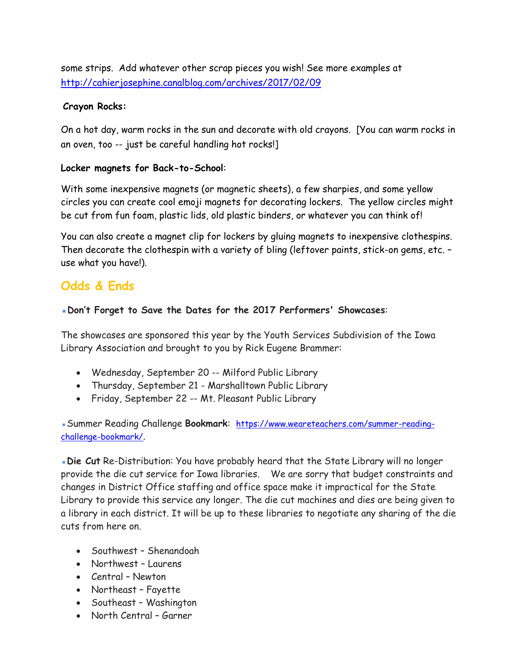some strips. Add whatever other scrap pieces you wish! See more examples at <http://cahierjosephine.canalblog.com/archives/2017/02/09>

#### **Crayon Rocks:**

On a hot day, warm rocks in the sun and decorate with old crayons. [You can warm rocks in an oven, too -- just be careful handling hot rocks!]

#### **Locker magnets for Back-to-School**:

With some inexpensive magnets (or magnetic sheets), a few sharpies, and some yellow circles you can create cool emoji magnets for decorating lockers. The yellow circles might be cut from fun foam, plastic lids, old plastic binders, or whatever you can think of!

You can also create a magnet clip for lockers by gluing magnets to inexpensive clothespins. Then decorate the clothespin with a variety of bling (leftover paints, stick-on gems, etc. use what you have!).

## **Odds & Ends**

#### ▪**Don't Forget to Save the Dates for the 2017 Performers' Showcases**:

The showcases are sponsored this year by the Youth Services Subdivision of the Iowa Library Association and brought to you by Rick Eugene Brammer:

- Wednesday, September 20 -- Milford Public Library
- Thursday, September 21 Marshalltown Public Library
- Friday, September 22 -- Mt. Pleasant Public Library

▪Summer Reading Challenge **Bookmark**: [https://www.weareteachers.com/summer-reading](https://www.weareteachers.com/summer-reading-challenge-bookmark/)[challenge-bookmark/](https://www.weareteachers.com/summer-reading-challenge-bookmark/).

**. Die Cut** Re-Distribution: You have probably heard that the State Library will no longer provide the die cut service for Iowa libraries. We are sorry that budget constraints and changes in District Office staffing and office space make it impractical for the State Library to provide this service any longer. The die cut machines and dies are being given to a library in each district. It will be up to these libraries to negotiate any sharing of the die cuts from here on.

- Southwest Shenandoah
- Northwest Laurens
- Central Newton
- Northeast Fayette
- Southeast Washington
- North Central Garner